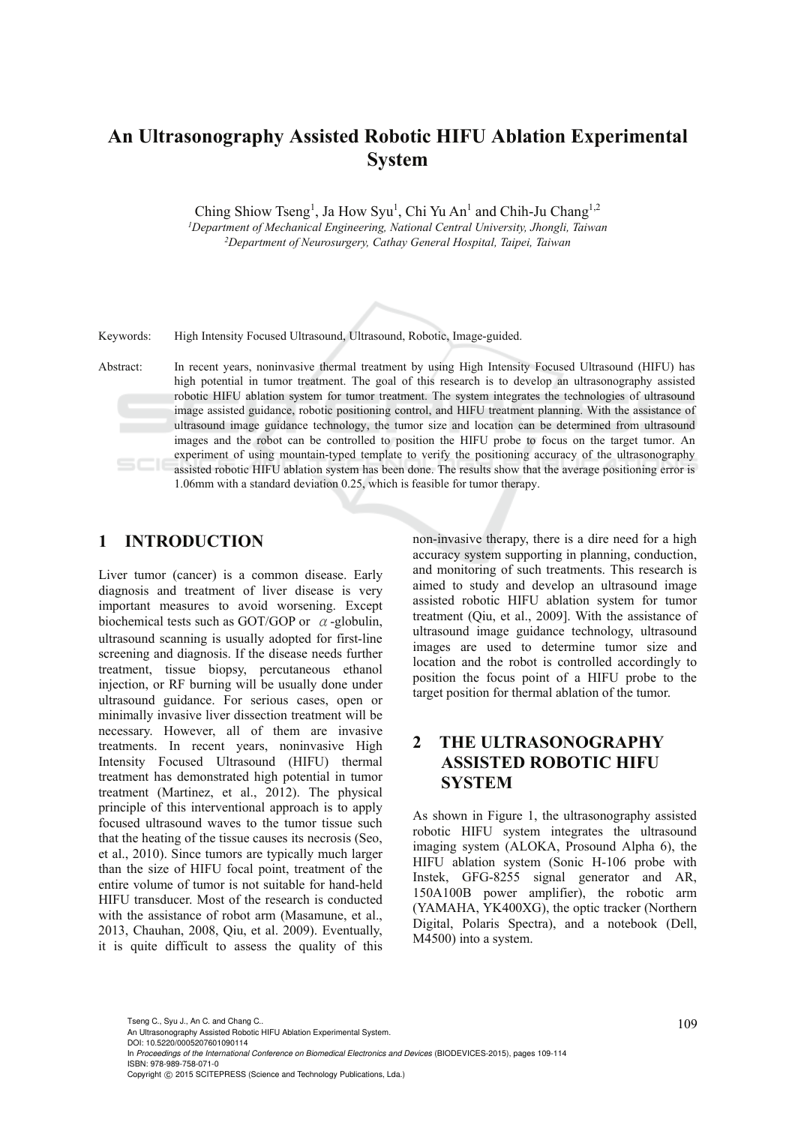## **An Ultrasonography Assisted Robotic HIFU Ablation Experimental System**

Ching Shiow Tseng<sup>1</sup>, Ja How Syu<sup>1</sup>, Chi Yu An<sup>1</sup> and Chih-Ju Chang<sup>1,2</sup> *1Department of Mechanical Engineering, National Central University, Jhongli, Taiwan 2Department of Neurosurgery, Cathay General Hospital, Taipei, Taiwan* 

Keywords: High Intensity Focused Ultrasound, Ultrasound, Robotic, Image-guided.

Abstract: In recent years, noninvasive thermal treatment by using High Intensity Focused Ultrasound (HIFU) has high potential in tumor treatment. The goal of this research is to develop an ultrasonography assisted robotic HIFU ablation system for tumor treatment. The system integrates the technologies of ultrasound image assisted guidance, robotic positioning control, and HIFU treatment planning. With the assistance of ultrasound image guidance technology, the tumor size and location can be determined from ultrasound images and the robot can be controlled to position the HIFU probe to focus on the target tumor. An experiment of using mountain-typed template to verify the positioning accuracy of the ultrasonography assisted robotic HIFU ablation system has been done. The results show that the average positioning error is 1.06mm with a standard deviation 0.25, which is feasible for tumor therapy.

#### **1 INTRODUCTION**

Liver tumor (cancer) is a common disease. Early diagnosis and treatment of liver disease is very important measures to avoid worsening. Except biochemical tests such as GOT/GOP or  $\alpha$ -globulin, ultrasound scanning is usually adopted for first-line screening and diagnosis. If the disease needs further treatment, tissue biopsy, percutaneous ethanol injection, or RF burning will be usually done under ultrasound guidance. For serious cases, open or minimally invasive liver dissection treatment will be necessary. However, all of them are invasive treatments. In recent years, noninvasive High Intensity Focused Ultrasound (HIFU) thermal treatment has demonstrated high potential in tumor treatment (Martinez, et al., 2012). The physical principle of this interventional approach is to apply focused ultrasound waves to the tumor tissue such that the heating of the tissue causes its necrosis (Seo, et al., 2010). Since tumors are typically much larger than the size of HIFU focal point, treatment of the entire volume of tumor is not suitable for hand-held HIFU transducer. Most of the research is conducted with the assistance of robot arm (Masamune, et al., 2013, Chauhan, 2008, Qiu, et al. 2009). Eventually, it is quite difficult to assess the quality of this non-invasive therapy, there is a dire need for a high accuracy system supporting in planning, conduction, and monitoring of such treatments. This research is aimed to study and develop an ultrasound image assisted robotic HIFU ablation system for tumor treatment (Qiu, et al., 2009]. With the assistance of ultrasound image guidance technology, ultrasound images are used to determine tumor size and location and the robot is controlled accordingly to position the focus point of a HIFU probe to the target position for thermal ablation of the tumor.

## **2 THE ULTRASONOGRAPHY ASSISTED ROBOTIC HIFU SYSTEM**

As shown in Figure 1, the ultrasonography assisted robotic HIFU system integrates the ultrasound imaging system (ALOKA, Prosound Alpha 6), the HIFU ablation system (Sonic H-106 probe with Instek, GFG-8255 signal generator and AR, 150A100B power amplifier), the robotic arm (YAMAHA, YK400XG), the optic tracker (Northern Digital, Polaris Spectra), and a notebook (Dell, M4500) into a system.

DOI: 10.5220/0005207601090114 In *Proceedings of the International Conference on Biomedical Electronics and Devices* (BIODEVICES-2015), pages 109-114 ISBN: 978-989-758-071-0

Tseng C., Syu J., An C. and Chang C..<br>An Ultrasonography Assisted Robotic HIFU Ablation Experimental System.

Copyright © 2015 SCITEPRESS (Science and Technology Publications, Lda.)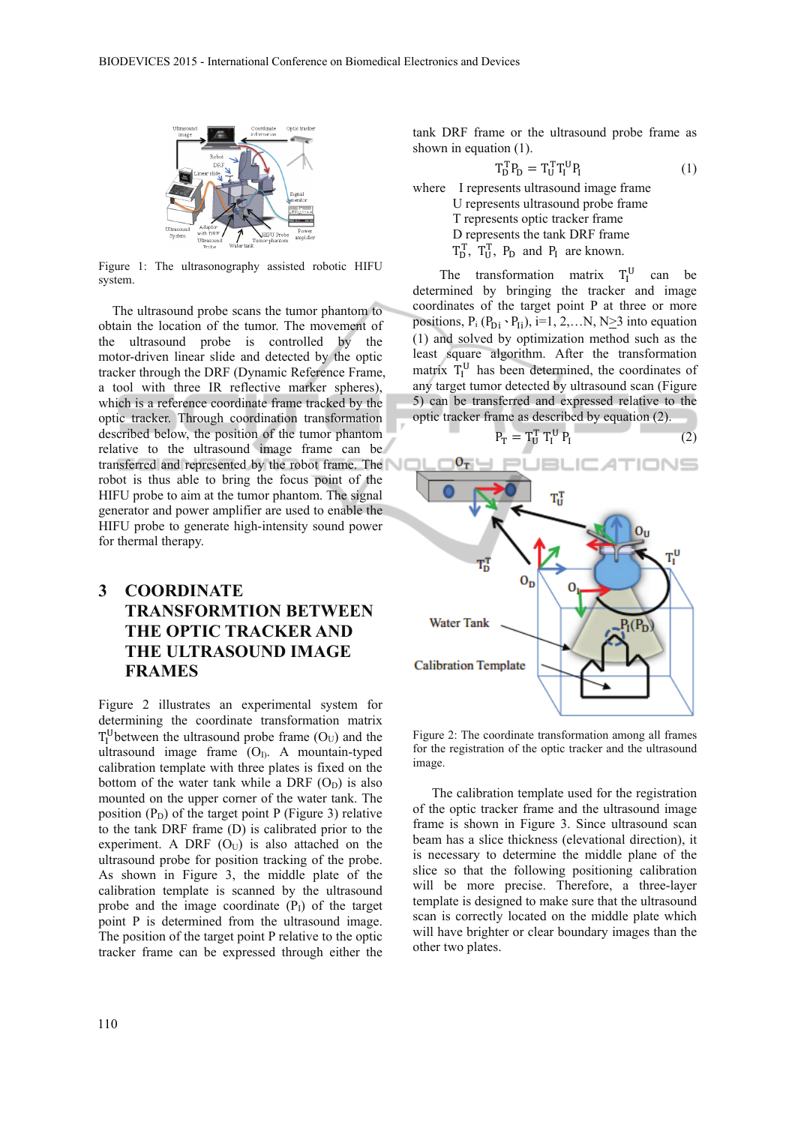

Figure 1: The ultrasonography assisted robotic HIFU system.

The ultrasound probe scans the tumor phantom to obtain the location of the tumor. The movement of the ultrasound probe is controlled by the motor-driven linear slide and detected by the optic tracker through the DRF (Dynamic Reference Frame, a tool with three IR reflective marker spheres), which is a reference coordinate frame tracked by the optic tracker. Through coordination transformation described below, the position of the tumor phantom relative to the ultrasound image frame can be transferred and represented by the robot frame. The robot is thus able to bring the focus point of the HIFU probe to aim at the tumor phantom. The signal generator and power amplifier are used to enable the HIFU probe to generate high-intensity sound power for thermal therapy.

## **3 COORDINATE TRANSFORMTION BETWEEN THE OPTIC TRACKER AND THE ULTRASOUND IMAGE FRAMES**

Figure 2 illustrates an experimental system for determining the coordinate transformation matrix  $T_I^U$ between the ultrasound probe frame  $(O_U)$  and the ultrasound image frame  $(O<sub>I</sub>)$ . A mountain-typed calibration template with three plates is fixed on the bottom of the water tank while a DRF  $(O_D)$  is also mounted on the upper corner of the water tank. The position  $(P_D)$  of the target point P (Figure 3) relative to the tank DRF frame (D) is calibrated prior to the experiment. A DRF  $(O<sub>U</sub>)$  is also attached on the ultrasound probe for position tracking of the probe. As shown in Figure 3, the middle plate of the calibration template is scanned by the ultrasound probe and the image coordinate  $(P<sub>I</sub>)$  of the target point P is determined from the ultrasound image. The position of the target point P relative to the optic tracker frame can be expressed through either the

tank DRF frame or the ultrasound probe frame as shown in equation (1).

$$
T_D^T P_D = T_U^T T_I^U P_I \tag{1}
$$

where I represents ultrasound image frame U represents ultrasound probe frame T represents optic tracker frame D represents the tank DRF frame  $T_D^T$ ,  $T_U^T$ ,  $P_D$  and  $P_I$  are known.

The transformation matrix  $T_I^U$  can be determined by bringing the tracker and image coordinates of the target point P at three or more positions,  $P_i (P_{Di} \cdot P_{Ii})$ , i=1, 2,...N, N>3 into equation (1) and solved by optimization method such as the least square algorithm. After the transformation matrix  $T_I^U$  has been determined, the coordinates of any target tumor detected by ultrasound scan (Figure 5) can be transferred and expressed relative to the optic tracker frame as described by equation (2).

$$
= T_{\mathrm{U}}^{\mathrm{T}} T_{\mathrm{I}}^{\mathrm{U}} P_{\mathrm{I}} \tag{2}
$$



Figure 2: The coordinate transformation among all frames for the registration of the optic tracker and the ultrasound image.

The calibration template used for the registration of the optic tracker frame and the ultrasound image frame is shown in Figure 3. Since ultrasound scan beam has a slice thickness (elevational direction), it is necessary to determine the middle plane of the slice so that the following positioning calibration will be more precise. Therefore, a three-layer template is designed to make sure that the ultrasound scan is correctly located on the middle plate which will have brighter or clear boundary images than the other two plates.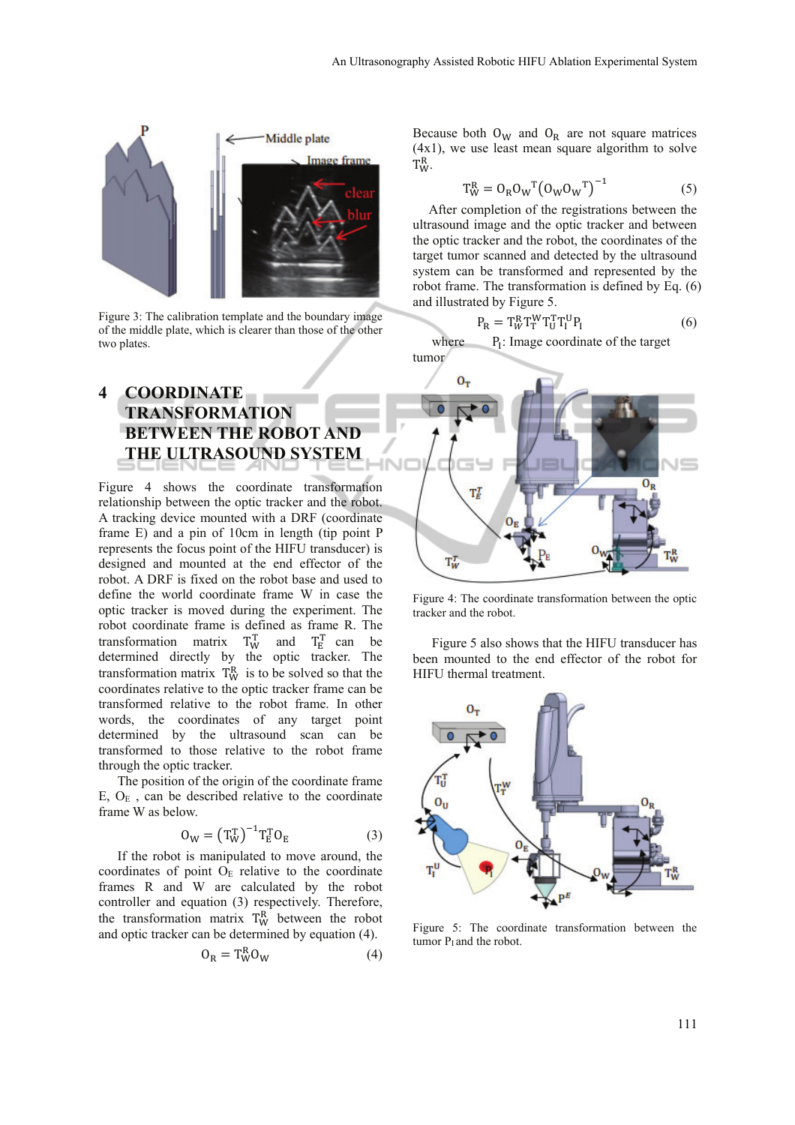

Figure 3: The calibration template and the boundary image of the middle plate, which is clearer than those of the other two plates.

## **4 COORDINATE TRANSFORMATION BETWEEN THE ROBOT AND THE ULTRASOUND SYSTEM**

Figure 4 shows the coordinate transformation relationship between the optic tracker and the robot. A tracking device mounted with a DRF (coordinate frame E) and a pin of 10cm in length (tip point P represents the focus point of the HIFU transducer) is designed and mounted at the end effector of the robot. A DRF is fixed on the robot base and used to define the world coordinate frame W in case the optic tracker is moved during the experiment. The robot coordinate frame is defined as frame R. The transformation matrix  $T_W^T$  and  $T_E^T$  can be determined directly by the optic tracker. The transformation matrix  $T_W^R$  is to be solved so that the coordinates relative to the optic tracker frame can be transformed relative to the robot frame. In other words, the coordinates of any target point determined by the ultrasound scan can be transformed to those relative to the robot frame through the optic tracker.

The position of the origin of the coordinate frame E,  $O<sub>E</sub>$ , can be described relative to the coordinate frame W as below.

$$
\mathbf{O}_W = \left(\mathbf{T}_W^{\mathrm{T}}\right)^{-1} \mathbf{T}_E^{\mathrm{T}} \mathbf{O}_E \tag{3}
$$

If the robot is manipulated to move around, the coordinates of point  $O<sub>E</sub>$  relative to the coordinate frames R and W are calculated by the robot controller and equation (3) respectively. Therefore, the transformation matrix  $T_W^R$  between the robot and optic tracker can be determined by equation (4).

$$
O_R = T_W^R O_W \tag{4}
$$

Because both  $O_W$  and  $O_R$  are not square matrices (4x1), we use least mean square algorithm to solve  $T_W^R$ .

$$
T_W^R = O_R O_W^T (O_W O_W^T)^{-1}
$$
 (5)

After completion of the registrations between the ultrasound image and the optic tracker and between the optic tracker and the robot, the coordinates of the target tumor scanned and detected by the ultrasound system can be transformed and represented by the robot frame. The transformation is defined by Eq. (6) and illustrated by Figure 5.

$$
P_R = T_W^R T_T^W T_U^T T_I^U P_I \tag{6}
$$

where  $P_1$ : Image coordinate of the target tumor



Figure 4: The coordinate transformation between the optic tracker and the robot.

Figure 5 also shows that the HIFU transducer has been mounted to the end effector of the robot for HIFU thermal treatment.



Figure 5: The coordinate transformation between the tumor  $P<sub>I</sub>$  and the robot.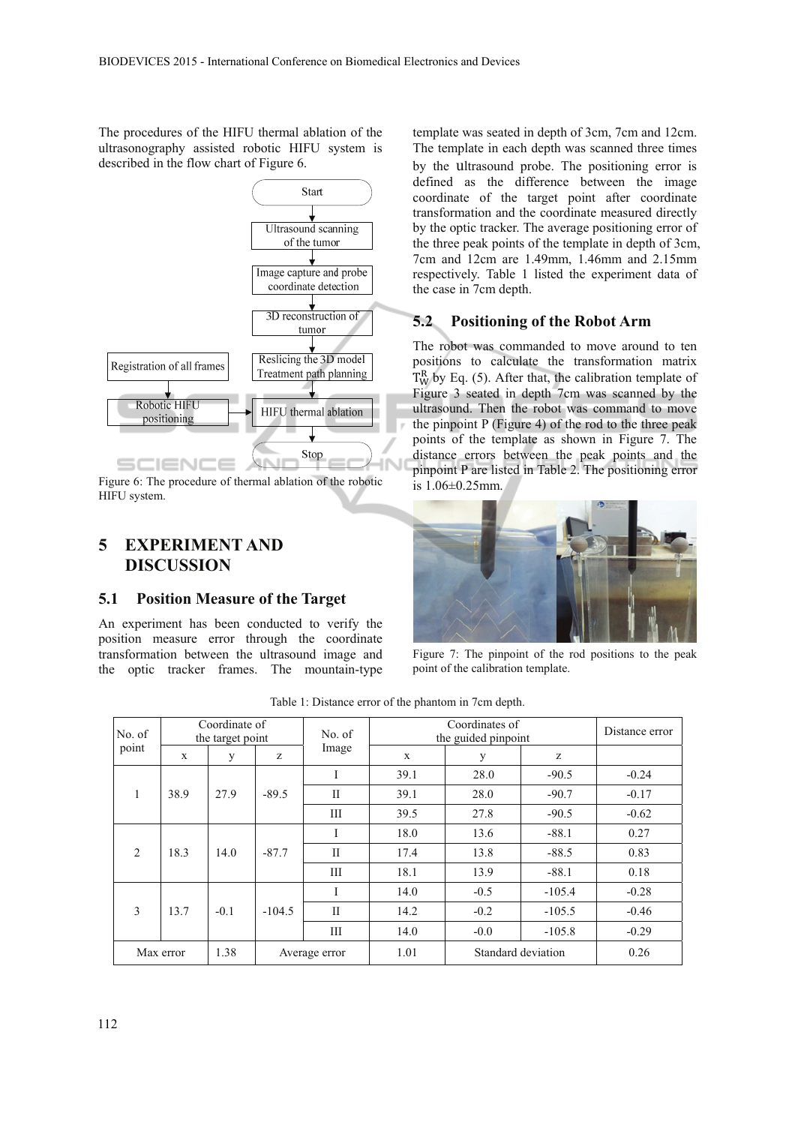The procedures of the HIFU thermal ablation of the ultrasonography assisted robotic HIFU system is described in the flow chart of Figure 6.



Figure 6: The procedure of thermal ablation of the robotic HIFU system.

### **5 EXPERIMENT AND DISCUSSION**

#### **5.1 Position Measure of the Target**

An experiment has been conducted to verify the position measure error through the coordinate transformation between the ultrasound image and the optic tracker frames. The mountain-type template was seated in depth of 3cm, 7cm and 12cm. The template in each depth was scanned three times by the ultrasound probe. The positioning error is defined as the difference between the image coordinate of the target point after coordinate transformation and the coordinate measured directly by the optic tracker. The average positioning error of the three peak points of the template in depth of 3cm, 7cm and 12cm are 1.49mm, 1.46mm and 2.15mm respectively. Table 1 listed the experiment data of the case in 7cm depth.

#### **5.2 Positioning of the Robot Arm**

The robot was commanded to move around to ten positions to calculate the transformation matrix  $T_W^R$  by Eq. (5). After that, the calibration template of Figure 3 seated in depth 7cm was scanned by the ultrasound. Then the robot was command to move the pinpoint P (Figure 4) of the rod to the three peak points of the template as shown in Figure 7. The distance errors between the peak points and the pinpoint P are listed in Table 2. The positioning error is 1.06±0.25mm.



Figure 7: The pinpoint of the rod positions to the peak point of the calibration template.

| No. of<br>point   | Coordinate of<br>the target point |        |               | No. of       | Coordinates of<br>the guided pinpoint |                    |          | Distance error |
|-------------------|-----------------------------------|--------|---------------|--------------|---------------------------------------|--------------------|----------|----------------|
|                   | $\mathbf{x}$                      | y      | z             | Image        | X                                     | y                  | z        |                |
| $\mathbf{1}$<br>1 | 38.9                              | 27.9   | $-89.5$       | I            | 39.1                                  | 28.0               | $-90.5$  | $-0.24$        |
|                   |                                   |        |               | H            | 39.1                                  | 28.0               | $-90.7$  | $-0.17$        |
|                   |                                   |        |               | Ш            | 39.5                                  | 27.8               | $-90.5$  | $-0.62$        |
| $\overline{2}$    | 18.3                              | 14.0   | $-87.7$       | I            | 18.0                                  | 13.6               | $-88.1$  | 0.27           |
|                   |                                   |        |               | $\mathbf{I}$ | 17.4                                  | 13.8               | $-88.5$  | 0.83           |
|                   |                                   |        |               | Ш            | 18.1                                  | 13.9               | $-88.1$  | 0.18           |
| 3                 | 13.7                              | $-0.1$ | $-104.5$      | I            | 14.0                                  | $-0.5$             | $-105.4$ | $-0.28$        |
|                   |                                   |        |               | $\mathbf{I}$ | 14.2                                  | $-0.2$             | $-105.5$ | $-0.46$        |
|                   |                                   |        |               | Ш            | 14.0                                  | $-0.0$             | $-105.8$ | $-0.29$        |
| Max error         |                                   | 1.38   | Average error |              | 1.01                                  | Standard deviation |          | 0.26           |

Table 1: Distance error of the phantom in 7cm depth.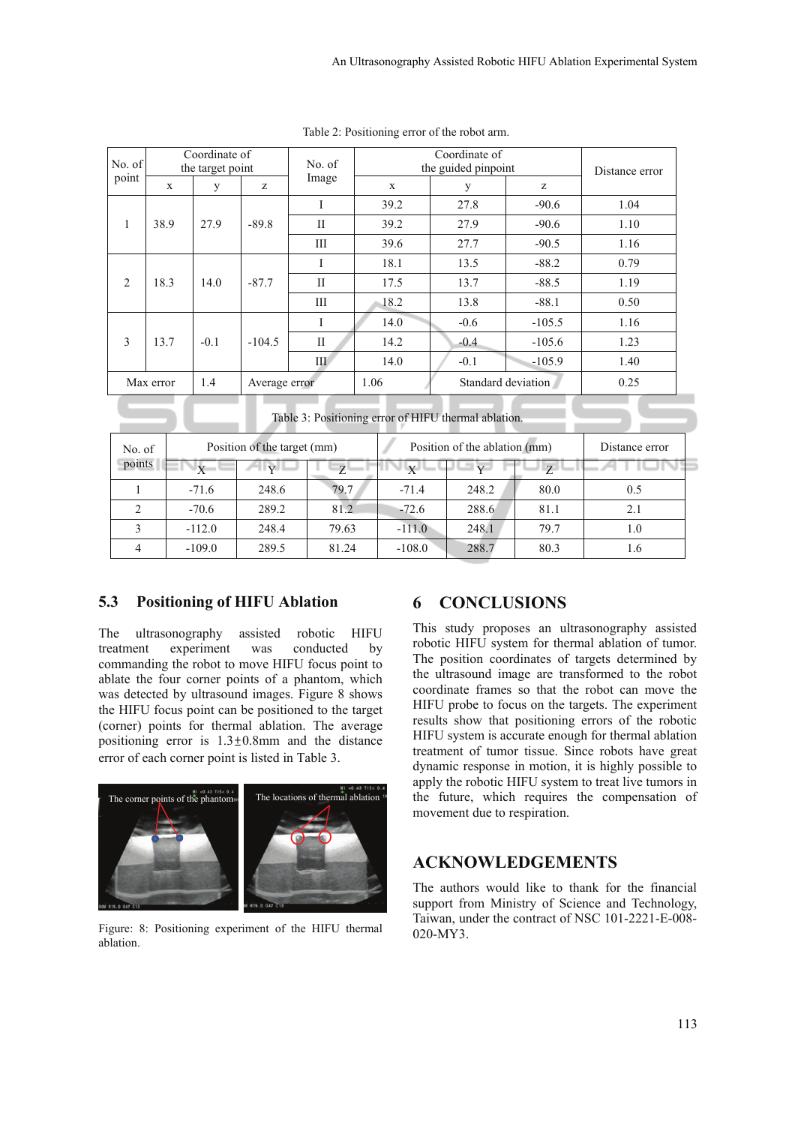| No. of<br>point | Coordinate of<br>the target point |        |               | No. of       | the guided pinpoint | Distance error     |          |      |
|-----------------|-----------------------------------|--------|---------------|--------------|---------------------|--------------------|----------|------|
|                 | X                                 | y      | Z.            | Image        | $\mathbf x$         | y                  | z        |      |
| 1               | 38.9                              |        | $-89.8$       | I            | 39.2                | 27.8               | $-90.6$  | 1.04 |
|                 |                                   | 27.9   |               | $\mathbf{I}$ | 39.2                | 27.9               | $-90.6$  | 1.10 |
|                 |                                   |        |               | Ш            | 39.6                | 27.7               | $-90.5$  | 1.16 |
| 2               | 18.3                              |        | $-87.7$       | Ι            | 18.1                | 13.5               | $-88.2$  | 0.79 |
|                 |                                   | 14.0   |               | $\mathbf{I}$ | 17.5                | 13.7               | $-88.5$  | 1.19 |
|                 |                                   |        |               | III          | 18.2                | 13.8               | $-88.1$  | 0.50 |
| 3               | 13.7                              | $-0.1$ | $-104.5$      | Ι            | 14.0                | $-0.6$             | $-105.5$ | 1.16 |
|                 |                                   |        |               | H            | 14.2                | $-0.4$             | $-105.6$ | 1.23 |
|                 |                                   |        |               | Ш            | 14.0                | $-0.1$             | $-105.9$ | 1.40 |
| Max error       |                                   | 1.4    | Average error |              | 1.06                | Standard deviation |          | 0.25 |

Table 2: Positioning error of the robot arm.

Table 3: Positioning error of HIFU thermal ablation.

| No. of<br>points |          | Position of the target (mm) |              | Position of the ablation (mm) | Distance error |              |     |
|------------------|----------|-----------------------------|--------------|-------------------------------|----------------|--------------|-----|
|                  | Y        | $\mathbf{v}$                | $\mathbf{z}$ | X                             |                | $\mathbf{z}$ |     |
|                  | $-71.6$  | 248.6                       | 79.7         | $-71.4$                       | 248.2          | 80.0         | 0.5 |
|                  | $-70.6$  | 289.2                       | 81.2         | $-72.6$                       | 288.6          | 81.1         | 2.1 |
|                  | $-112.0$ | 248.4                       | 79.63        | $-111.0$                      | 248.1          | 79.7         | 1.0 |
|                  | $-109.0$ | 289.5                       | 81.24        | $-108.0$                      | 288.7          | 80.3         | 1.6 |

#### **5.3 Positioning of HIFU Ablation**

The ultrasonography assisted robotic HIFU treatment experiment was conducted by commanding the robot to move HIFU focus point to ablate the four corner points of a phantom, which was detected by ultrasound images. Figure 8 shows the HIFU focus point can be positioned to the target (corner) points for thermal ablation. The average positioning error is  $1.3 \pm 0.8$ mm and the distance error of each corner point is listed in Table 3.



Figure: 8: Positioning experiment of the HIFU thermal ablation.

#### **6 CONCLUSIONS**

This study proposes an ultrasonography assisted robotic HIFU system for thermal ablation of tumor. The position coordinates of targets determined by the ultrasound image are transformed to the robot coordinate frames so that the robot can move the HIFU probe to focus on the targets. The experiment results show that positioning errors of the robotic HIFU system is accurate enough for thermal ablation treatment of tumor tissue. Since robots have great dynamic response in motion, it is highly possible to apply the robotic HIFU system to treat live tumors in the future, which requires the compensation of movement due to respiration.

#### **ACKNOWLEDGEMENTS**

The authors would like to thank for the financial support from Ministry of Science and Technology, Taiwan, under the contract of NSC 101-2221-E-008- 020-MY3.